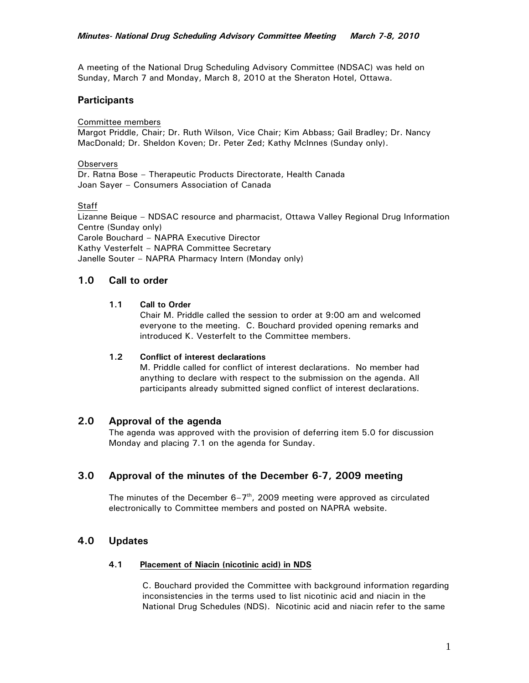A meeting of the National Drug Scheduling Advisory Committee (NDSAC) was held on Sunday, March 7 and Monday, March 8, 2010 at the Sheraton Hotel, Ottawa.

## **Participants**

Committee members

Margot Priddle, Chair; Dr. Ruth Wilson, Vice Chair; Kim Abbass; Gail Bradley; Dr. Nancy MacDonald; Dr. Sheldon Koven; Dr. Peter Zed; Kathy McInnes (Sunday only).

**Observers** 

Dr. Ratna Bose – Therapeutic Products Directorate, Health Canada Joan Sayer – Consumers Association of Canada

**Staff** 

Lizanne Beique – NDSAC resource and pharmacist, Ottawa Valley Regional Drug Information Centre (Sunday only) Carole Bouchard – NAPRA Executive Director Kathy Vesterfelt – NAPRA Committee Secretary Janelle Souter – NAPRA Pharmacy Intern (Monday only)

# **1.0 Call to order**

#### **1.1 Call to Order**

Chair M. Priddle called the session to order at 9:00 am and welcomed everyone to the meeting. C. Bouchard provided opening remarks and introduced K. Vesterfelt to the Committee members.

## **1.2 Conflict of interest declarations**

M. Priddle called for conflict of interest declarations. No member had anything to declare with respect to the submission on the agenda. All participants already submitted signed conflict of interest declarations.

## **2.0 Approval of the agenda**

The agenda was approved with the provision of deferring item 5.0 for discussion Monday and placing 7.1 on the agenda for Sunday.

# **3.0 Approval of the minutes of the December 6-7, 2009 meeting**

The minutes of the December  $6-7<sup>th</sup>$ , 2009 meeting were approved as circulated electronically to Committee members and posted on NAPRA website.

# **4.0 Updates**

#### **4.1 Placement of Niacin (nicotinic acid) in NDS**

C. Bouchard provided the Committee with background information regarding inconsistencies in the terms used to list nicotinic acid and niacin in the National Drug Schedules (NDS). Nicotinic acid and niacin refer to the same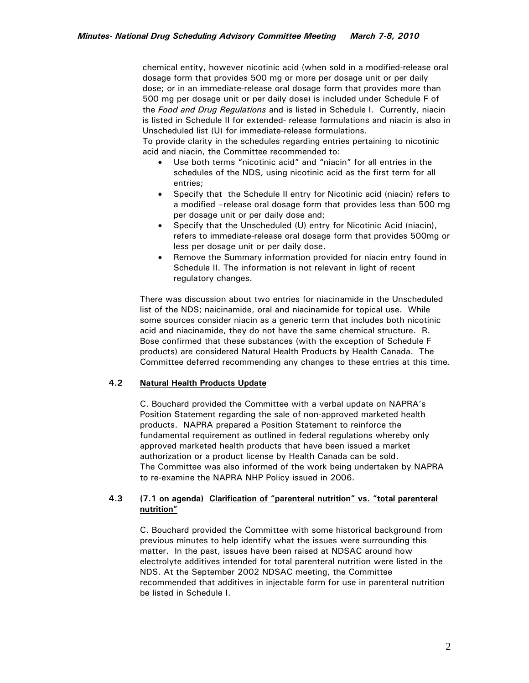chemical entity, however nicotinic acid (when sold in a modified-release oral dosage form that provides 500 mg or more per dosage unit or per daily dose; or in an immediate-release oral dosage form that provides more than 500 mg per dosage unit or per daily dose) is included under Schedule F of the *Food and Drug Regulations* and is listed in Schedule I. Currently, niacin is listed in Schedule II for extended- release formulations and niacin is also in Unscheduled list (U) for immediate-release formulations.

To provide clarity in the schedules regarding entries pertaining to nicotinic acid and niacin, the Committee recommended to:

- Use both terms "nicotinic acid" and "niacin" for all entries in the schedules of the NDS, using nicotinic acid as the first term for all entries;
- Specify that the Schedule II entry for Nicotinic acid (niacin) refers to a modified –release oral dosage form that provides less than 500 mg per dosage unit or per daily dose and;
- Specify that the Unscheduled (U) entry for Nicotinic Acid (niacin), refers to immediate-release oral dosage form that provides 500mg or less per dosage unit or per daily dose.
- Remove the Summary information provided for niacin entry found in Schedule II. The information is not relevant in light of recent regulatory changes.

There was discussion about two entries for niacinamide in the Unscheduled list of the NDS; naicinamide, oral and niacinamide for topical use. While some sources consider niacin as a generic term that includes both nicotinic acid and niacinamide, they do not have the same chemical structure. R. Bose confirmed that these substances (with the exception of Schedule F products) are considered Natural Health Products by Health Canada. The Committee deferred recommending any changes to these entries at this time*.* 

## **4.2 Natural Health Products Update**

C. Bouchard provided the Committee with a verbal update on NAPRA's Position Statement regarding the sale of non-approved marketed health products. NAPRA prepared a Position Statement to reinforce the fundamental requirement as outlined in federal regulations whereby only approved marketed health products that have been issued a market authorization or a product license by Health Canada can be sold. The Committee was also informed of the work being undertaken by NAPRA to re-examine the NAPRA NHP Policy issued in 2006.

## **4.3 (7.1 on agenda) Clarification of "parenteral nutrition" vs. "total parenteral nutrition"**

C. Bouchard provided the Committee with some historical background from previous minutes to help identify what the issues were surrounding this matter. In the past, issues have been raised at NDSAC around how electrolyte additives intended for total parenteral nutrition were listed in the NDS. At the September 2002 NDSAC meeting, the Committee recommended that additives in injectable form for use in parenteral nutrition be listed in Schedule I.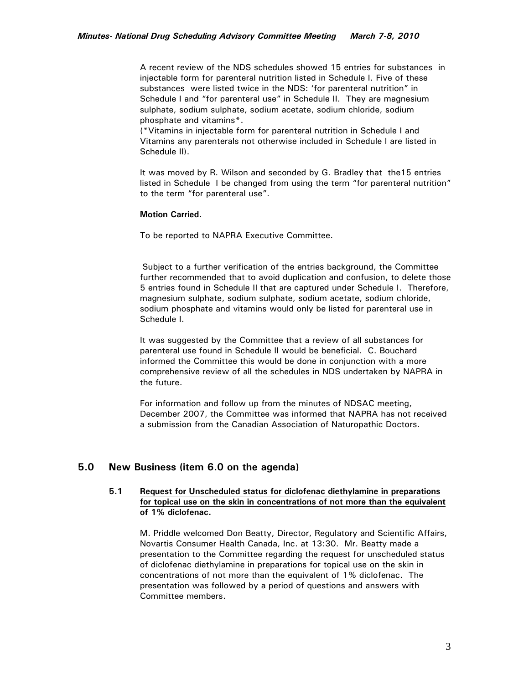A recent review of the NDS schedules showed 15 entries for substances in injectable form for parenteral nutrition listed in Schedule I. Five of these substances were listed twice in the NDS: 'for parenteral nutrition" in Schedule I and "for parenteral use" in Schedule II. They are magnesium sulphate, sodium sulphate, sodium acetate, sodium chloride, sodium phosphate and vitamins\*.

(\*Vitamins in injectable form for parenteral nutrition in Schedule I and Vitamins any parenterals not otherwise included in Schedule I are listed in Schedule II).

 It was moved by R. Wilson and seconded by G. Bradley that the15 entries listed in Schedule I be changed from using the term "for parenteral nutrition" to the term "for parenteral use".

#### **Motion Carried.**

To be reported to NAPRA Executive Committee.

Subject to a further verification of the entries background, the Committee further recommended that to avoid duplication and confusion, to delete those 5 entries found in Schedule II that are captured under Schedule I. Therefore, magnesium sulphate, sodium sulphate, sodium acetate, sodium chloride, sodium phosphate and vitamins would only be listed for parenteral use in Schedule I.

It was suggested by the Committee that a review of all substances for parenteral use found in Schedule II would be beneficial. C. Bouchard informed the Committee this would be done in conjunction with a more comprehensive review of all the schedules in NDS undertaken by NAPRA in the future.

 For information and follow up from the minutes of NDSAC meeting, December 2007, the Committee was informed that NAPRA has not received a submission from the Canadian Association of Naturopathic Doctors.

# **5.0 New Business (item 6.0 on the agenda)**

## **5.1 Request for Unscheduled status for diclofenac diethylamine in preparations for topical use on the skin in concentrations of not more than the equivalent of 1% diclofenac.**

M. Priddle welcomed Don Beatty, Director, Regulatory and Scientific Affairs, Novartis Consumer Health Canada, Inc. at 13:30. Mr. Beatty made a presentation to the Committee regarding the request for unscheduled status of diclofenac diethylamine in preparations for topical use on the skin in concentrations of not more than the equivalent of 1% diclofenac. The presentation was followed by a period of questions and answers with Committee members.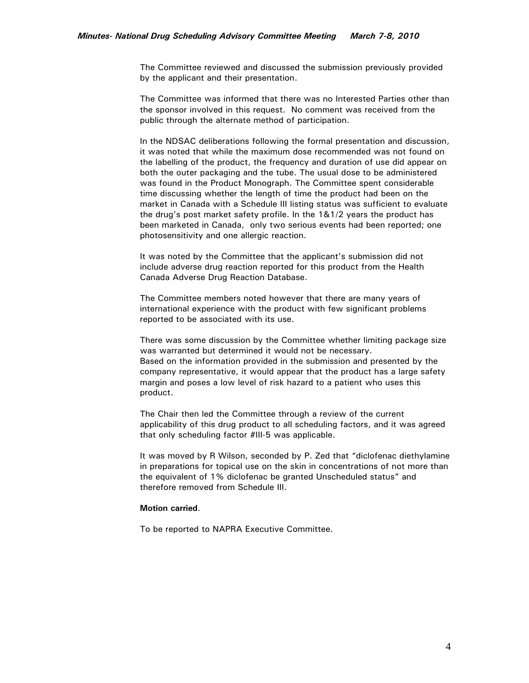The Committee reviewed and discussed the submission previously provided by the applicant and their presentation.

The Committee was informed that there was no Interested Parties other than the sponsor involved in this request. No comment was received from the public through the alternate method of participation.

In the NDSAC deliberations following the formal presentation and discussion, it was noted that while the maximum dose recommended was not found on the labelling of the product, the frequency and duration of use did appear on both the outer packaging and the tube. The usual dose to be administered was found in the Product Monograph. The Committee spent considerable time discussing whether the length of time the product had been on the market in Canada with a Schedule III listing status was sufficient to evaluate the drug's post market safety profile. In the 1&1/2 years the product has been marketed in Canada, only two serious events had been reported; one photosensitivity and one allergic reaction.

It was noted by the Committee that the applicant's submission did not include adverse drug reaction reported for this product from the Health Canada Adverse Drug Reaction Database.

The Committee members noted however that there are many years of international experience with the product with few significant problems reported to be associated with its use.

There was some discussion by the Committee whether limiting package size was warranted but determined it would not be necessary. Based on the information provided in the submission and presented by the company representative, it would appear that the product has a large safety margin and poses a low level of risk hazard to a patient who uses this product.

The Chair then led the Committee through a review of the current applicability of this drug product to all scheduling factors, and it was agreed that only scheduling factor #III-5 was applicable.

It was moved by R Wilson, seconded by P. Zed that "diclofenac diethylamine in preparations for topical use on the skin in concentrations of not more than the equivalent of 1% diclofenac be granted Unscheduled status" and therefore removed from Schedule III.

#### **Motion carried**.

To be reported to NAPRA Executive Committee.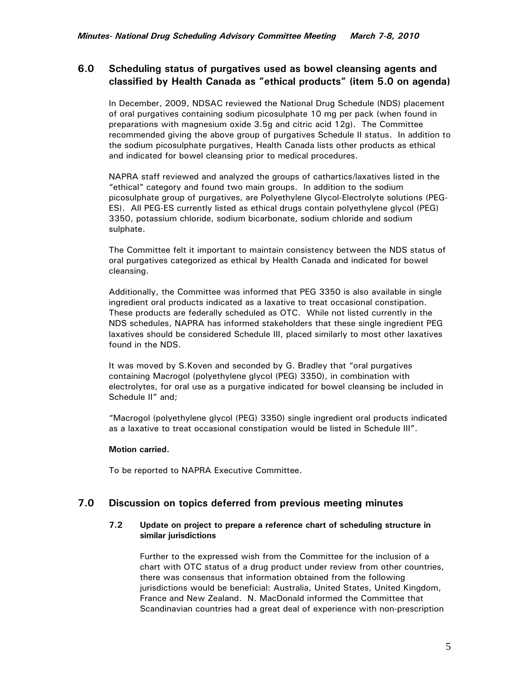# **6.0 Scheduling status of purgatives used as bowel cleansing agents and classified by Health Canada as "ethical products" (item 5.0 on agenda)**

In December, 2009, NDSAC reviewed the National Drug Schedule (NDS) placement of oral purgatives containing sodium picosulphate 10 mg per pack (when found in preparations with magnesium oxide 3.5g and citric acid 12g). The Committee recommended giving the above group of purgatives Schedule II status. In addition to the sodium picosulphate purgatives, Health Canada lists other products as ethical and indicated for bowel cleansing prior to medical procedures.

NAPRA staff reviewed and analyzed the groups of cathartics/laxatives listed in the "ethical" category and found two main groups. In addition to the sodium picosulphate group of purgatives, are Polyethylene Glycol-Electrolyte solutions (PEG-ES). All PEG-ES currently listed as ethical drugs contain polyethylene glycol (PEG) 3350, potassium chloride, sodium bicarbonate, sodium chloride and sodium sulphate.

The Committee felt it important to maintain consistency between the NDS status of oral purgatives categorized as ethical by Health Canada and indicated for bowel cleansing.

Additionally, the Committee was informed that PEG 3350 is also available in single ingredient oral products indicated as a laxative to treat occasional constipation. These products are federally scheduled as OTC. While not listed currently in the NDS schedules, NAPRA has informed stakeholders that these single ingredient PEG laxatives should be considered Schedule III, placed similarly to most other laxatives found in the NDS.

It was moved by S.Koven and seconded by G. Bradley that "oral purgatives containing Macrogol (polyethylene glycol (PEG) 3350), in combination with electrolytes, for oral use as a purgative indicated for bowel cleansing be included in Schedule II" and;

"Macrogol (polyethylene glycol (PEG) 3350) single ingredient oral products indicated as a laxative to treat occasional constipation would be listed in Schedule III".

## **Motion carried.**

To be reported to NAPRA Executive Committee.

# **7.0 Discussion on topics deferred from previous meeting minutes**

## **7.2 Update on project to prepare a reference chart of scheduling structure in similar jurisdictions**

Further to the expressed wish from the Committee for the inclusion of a chart with OTC status of a drug product under review from other countries, there was consensus that information obtained from the following jurisdictions would be beneficial: Australia, United States, United Kingdom, France and New Zealand. N. MacDonald informed the Committee that Scandinavian countries had a great deal of experience with non-prescription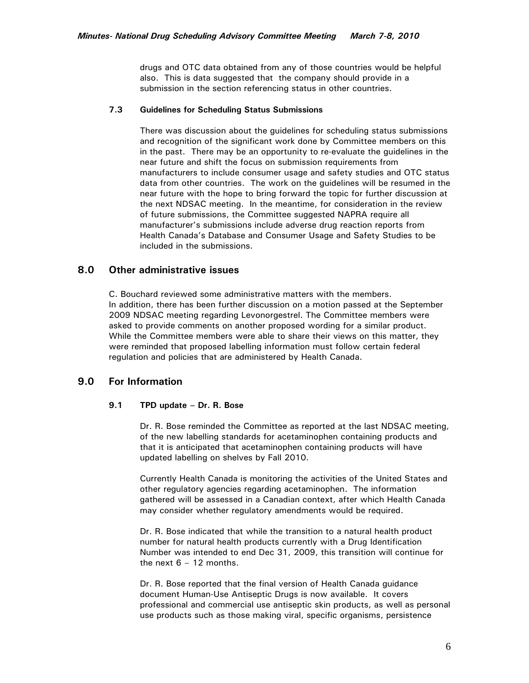drugs and OTC data obtained from any of those countries would be helpful also. This is data suggested that the company should provide in a submission in the section referencing status in other countries.

#### **7.3 Guidelines for Scheduling Status Submissions**

There was discussion about the guidelines for scheduling status submissions and recognition of the significant work done by Committee members on this in the past. There may be an opportunity to re-evaluate the guidelines in the near future and shift the focus on submission requirements from manufacturers to include consumer usage and safety studies and OTC status data from other countries. The work on the guidelines will be resumed in the near future with the hope to bring forward the topic for further discussion at the next NDSAC meeting. In the meantime, for consideration in the review of future submissions, the Committee suggested NAPRA require all manufacturer's submissions include adverse drug reaction reports from Health Canada's Database and Consumer Usage and Safety Studies to be included in the submissions.

# **8.0 Other administrative issues**

C. Bouchard reviewed some administrative matters with the members. In addition, there has been further discussion on a motion passed at the September 2009 NDSAC meeting regarding Levonorgestrel. The Committee members were asked to provide comments on another proposed wording for a similar product. While the Committee members were able to share their views on this matter, they were reminded that proposed labelling information must follow certain federal regulation and policies that are administered by Health Canada.

# **9.0 For Information**

## **9.1 TPD update – Dr. R. Bose**

Dr. R. Bose reminded the Committee as reported at the last NDSAC meeting, of the new labelling standards for acetaminophen containing products and that it is anticipated that acetaminophen containing products will have updated labelling on shelves by Fall 2010.

Currently Health Canada is monitoring the activities of the United States and other regulatory agencies regarding acetaminophen. The information gathered will be assessed in a Canadian context, after which Health Canada may consider whether regulatory amendments would be required.

Dr. R. Bose indicated that while the transition to a natural health product number for natural health products currently with a Drug Identification Number was intended to end Dec 31, 2009, this transition will continue for the next  $6 - 12$  months.

Dr. R. Bose reported that the final version of Health Canada guidance document Human-Use Antiseptic Drugs is now available. It covers professional and commercial use antiseptic skin products, as well as personal use products such as those making viral, specific organisms, persistence